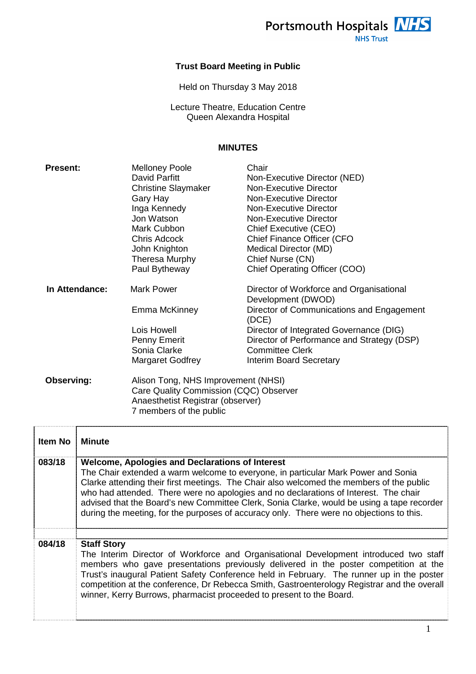Portsmouth Hospitals **NHS** 

## **Trust Board Meeting in Public**

Held on Thursday 3 May 2018

Lecture Theatre, Education Centre Queen Alexandra Hospital

## **MINUTES**

| <b>Present:</b>   | <b>Melloney Poole</b>                                                                                                                         | Chair                                                          |
|-------------------|-----------------------------------------------------------------------------------------------------------------------------------------------|----------------------------------------------------------------|
|                   | David Parfitt                                                                                                                                 | Non-Executive Director (NED)                                   |
|                   | <b>Christine Slaymaker</b>                                                                                                                    | <b>Non-Executive Director</b>                                  |
|                   | Gary Hay                                                                                                                                      | <b>Non-Executive Director</b>                                  |
|                   | Inga Kennedy                                                                                                                                  | <b>Non-Executive Director</b>                                  |
|                   | Jon Watson                                                                                                                                    | Non-Executive Director                                         |
|                   | Mark Cubbon                                                                                                                                   | <b>Chief Executive (CEO)</b>                                   |
|                   | Chris Adcock                                                                                                                                  | Chief Finance Officer (CFO                                     |
|                   | John Knighton                                                                                                                                 | Medical Director (MD)                                          |
|                   | Theresa Murphy                                                                                                                                | Chief Nurse (CN)                                               |
|                   | Paul Bytheway                                                                                                                                 | Chief Operating Officer (COO)                                  |
| In Attendance:    | <b>Mark Power</b>                                                                                                                             | Director of Workforce and Organisational<br>Development (DWOD) |
|                   | Emma McKinney                                                                                                                                 | Director of Communications and Engagement<br>(DCE)             |
|                   | Lois Howell                                                                                                                                   | Director of Integrated Governance (DIG)                        |
|                   | Penny Emerit                                                                                                                                  | Director of Performance and Strategy (DSP)                     |
|                   | Sonia Clarke                                                                                                                                  | <b>Committee Clerk</b>                                         |
|                   | Margaret Godfrey                                                                                                                              | <b>Interim Board Secretary</b>                                 |
| <b>Observing:</b> | Alison Tong, NHS Improvement (NHSI)<br>Care Quality Commission (CQC) Observer<br>Anaesthetist Registrar (observer)<br>7 members of the public |                                                                |

| Item No | <b>Minute</b>                                                                                                                                                                                                                                                                                                                                                                                                                                                                                                             |
|---------|---------------------------------------------------------------------------------------------------------------------------------------------------------------------------------------------------------------------------------------------------------------------------------------------------------------------------------------------------------------------------------------------------------------------------------------------------------------------------------------------------------------------------|
| 083/18  | <b>Welcome, Apologies and Declarations of Interest</b><br>The Chair extended a warm welcome to everyone, in particular Mark Power and Sonia<br>Clarke attending their first meetings. The Chair also welcomed the members of the public<br>who had attended. There were no apologies and no declarations of Interest. The chair<br>advised that the Board's new Committee Clerk, Sonia Clarke, would be using a tape recorder<br>during the meeting, for the purposes of accuracy only. There were no objections to this. |
| 084/18  | <b>Staff Story</b><br>The Interim Director of Workforce and Organisational Development introduced two staff<br>members who gave presentations previously delivered in the poster competition at the<br>Trust's inaugural Patient Safety Conference held in February. The runner up in the poster<br>competition at the conference, Dr Rebecca Smith, Gastroenterology Registrar and the overall<br>winner, Kerry Burrows, pharmacist proceeded to present to the Board.                                                   |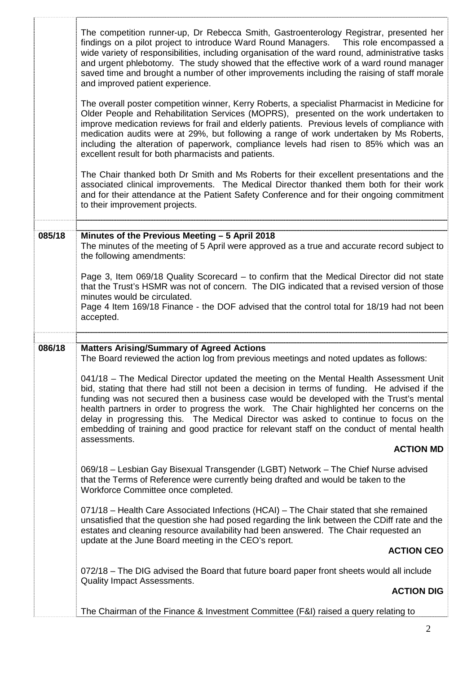|        | The competition runner-up, Dr Rebecca Smith, Gastroenterology Registrar, presented her<br>findings on a pilot project to introduce Ward Round Managers.  This role encompassed a<br>wide variety of responsibilities, including organisation of the ward round, administrative tasks<br>and urgent phlebotomy. The study showed that the effective work of a ward round manager<br>saved time and brought a number of other improvements including the raising of staff morale<br>and improved patient experience.                                                   |
|--------|----------------------------------------------------------------------------------------------------------------------------------------------------------------------------------------------------------------------------------------------------------------------------------------------------------------------------------------------------------------------------------------------------------------------------------------------------------------------------------------------------------------------------------------------------------------------|
|        | The overall poster competition winner, Kerry Roberts, a specialist Pharmacist in Medicine for<br>Older People and Rehabilitation Services (MOPRS), presented on the work undertaken to<br>improve medication reviews for frail and elderly patients. Previous levels of compliance with<br>medication audits were at 29%, but following a range of work undertaken by Ms Roberts,<br>including the alteration of paperwork, compliance levels had risen to 85% which was an<br>excellent result for both pharmacists and patients.                                   |
|        | The Chair thanked both Dr Smith and Ms Roberts for their excellent presentations and the<br>associated clinical improvements. The Medical Director thanked them both for their work<br>and for their attendance at the Patient Safety Conference and for their ongoing commitment<br>to their improvement projects.                                                                                                                                                                                                                                                  |
| 085/18 | Minutes of the Previous Meeting - 5 April 2018<br>The minutes of the meeting of 5 April were approved as a true and accurate record subject to<br>the following amendments:                                                                                                                                                                                                                                                                                                                                                                                          |
|        | Page 3, Item 069/18 Quality Scorecard – to confirm that the Medical Director did not state<br>that the Trust's HSMR was not of concern. The DIG indicated that a revised version of those<br>minutes would be circulated.<br>Page 4 Item 169/18 Finance - the DOF advised that the control total for 18/19 had not been<br>accepted.                                                                                                                                                                                                                                 |
| 086/18 | <b>Matters Arising/Summary of Agreed Actions</b>                                                                                                                                                                                                                                                                                                                                                                                                                                                                                                                     |
|        | The Board reviewed the action log from previous meetings and noted updates as follows:                                                                                                                                                                                                                                                                                                                                                                                                                                                                               |
|        | 041/18 – The Medical Director updated the meeting on the Mental Health Assessment Unit<br>bid, stating that there had still not been a decision in terms of funding. He advised if the<br>funding was not secured then a business case would be developed with the Trust's mental<br>health partners in order to progress the work. The Chair highlighted her concerns on the<br>delay in progressing this. The Medical Director was asked to continue to focus on the<br>embedding of training and good practice for relevant staff on the conduct of mental health |
|        | assessments.<br><b>ACTION MD</b>                                                                                                                                                                                                                                                                                                                                                                                                                                                                                                                                     |
|        | 069/18 - Lesbian Gay Bisexual Transgender (LGBT) Network - The Chief Nurse advised<br>that the Terms of Reference were currently being drafted and would be taken to the<br>Workforce Committee once completed.                                                                                                                                                                                                                                                                                                                                                      |
|        | 071/18 - Health Care Associated Infections (HCAI) - The Chair stated that she remained<br>unsatisfied that the question she had posed regarding the link between the CDiff rate and the<br>estates and cleaning resource availability had been answered. The Chair requested an                                                                                                                                                                                                                                                                                      |
|        | update at the June Board meeting in the CEO's report.<br><b>ACTION CEO</b>                                                                                                                                                                                                                                                                                                                                                                                                                                                                                           |
|        | 072/18 – The DIG advised the Board that future board paper front sheets would all include                                                                                                                                                                                                                                                                                                                                                                                                                                                                            |
|        | <b>Quality Impact Assessments.</b><br><b>ACTION DIG</b>                                                                                                                                                                                                                                                                                                                                                                                                                                                                                                              |
|        | The Chairman of the Finance & Investment Committee (F&I) raised a query relating to                                                                                                                                                                                                                                                                                                                                                                                                                                                                                  |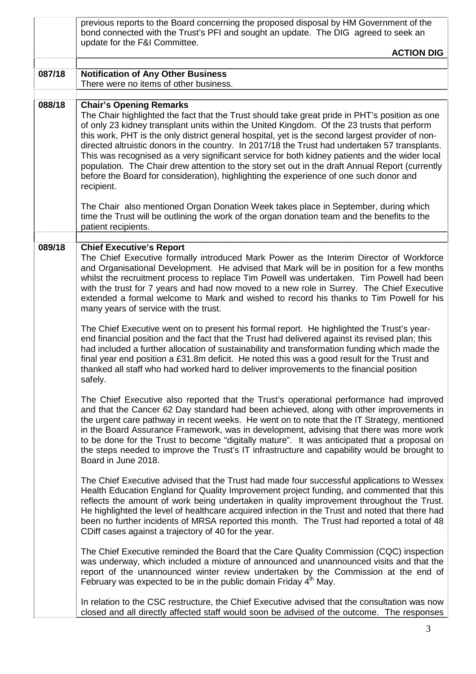|        | previous reports to the Board concerning the proposed disposal by HM Government of the<br>bond connected with the Trust's PFI and sought an update. The DIG agreed to seek an                                                                                                                                                                                                                                                                                                                                                                                                                                                                                                                                                                      |
|--------|----------------------------------------------------------------------------------------------------------------------------------------------------------------------------------------------------------------------------------------------------------------------------------------------------------------------------------------------------------------------------------------------------------------------------------------------------------------------------------------------------------------------------------------------------------------------------------------------------------------------------------------------------------------------------------------------------------------------------------------------------|
|        | update for the F&I Committee.<br><b>ACTION DIG</b>                                                                                                                                                                                                                                                                                                                                                                                                                                                                                                                                                                                                                                                                                                 |
| 087/18 | <b>Notification of Any Other Business</b><br>There were no items of other business.                                                                                                                                                                                                                                                                                                                                                                                                                                                                                                                                                                                                                                                                |
| 088/18 | <b>Chair's Opening Remarks</b><br>The Chair highlighted the fact that the Trust should take great pride in PHT's position as one<br>of only 23 kidney transplant units within the United Kingdom. Of the 23 trusts that perform<br>this work, PHT is the only district general hospital, yet is the second largest provider of non-<br>directed altruistic donors in the country. In 2017/18 the Trust had undertaken 57 transplants.<br>This was recognised as a very significant service for both kidney patients and the wider local<br>population. The Chair drew attention to the story set out in the draft Annual Report (currently<br>before the Board for consideration), highlighting the experience of one such donor and<br>recipient. |
|        | The Chair also mentioned Organ Donation Week takes place in September, during which<br>time the Trust will be outlining the work of the organ donation team and the benefits to the<br>patient recipients.                                                                                                                                                                                                                                                                                                                                                                                                                                                                                                                                         |
| 089/18 | <b>Chief Executive's Report</b><br>The Chief Executive formally introduced Mark Power as the Interim Director of Workforce<br>and Organisational Development. He advised that Mark will be in position for a few months<br>whilst the recruitment process to replace Tim Powell was undertaken. Tim Powell had been<br>with the trust for 7 years and had now moved to a new role in Surrey. The Chief Executive<br>extended a formal welcome to Mark and wished to record his thanks to Tim Powell for his<br>many years of service with the trust.                                                                                                                                                                                               |
|        | The Chief Executive went on to present his formal report. He highlighted the Trust's year-<br>end financial position and the fact that the Trust had delivered against its revised plan; this<br>had included a further allocation of sustainability and transformation funding which made the<br>final year end position a £31.8m deficit. He noted this was a good result for the Trust and<br>thanked all staff who had worked hard to deliver improvements to the financial position<br>safely.                                                                                                                                                                                                                                                |
|        | The Chief Executive also reported that the Trust's operational performance had improved<br>and that the Cancer 62 Day standard had been achieved, along with other improvements in<br>the urgent care pathway in recent weeks. He went on to note that the IT Strategy, mentioned<br>in the Board Assurance Framework, was in development, advising that there was more work<br>to be done for the Trust to become "digitally mature". It was anticipated that a proposal on<br>the steps needed to improve the Trust's IT infrastructure and capability would be brought to<br>Board in June 2018.                                                                                                                                                |
|        | The Chief Executive advised that the Trust had made four successful applications to Wessex<br>Health Education England for Quality Improvement project funding, and commented that this<br>reflects the amount of work being undertaken in quality improvement throughout the Trust.<br>He highlighted the level of healthcare acquired infection in the Trust and noted that there had<br>been no further incidents of MRSA reported this month. The Trust had reported a total of 48<br>CDiff cases against a trajectory of 40 for the year.                                                                                                                                                                                                     |
|        | The Chief Executive reminded the Board that the Care Quality Commission (CQC) inspection<br>was underway, which included a mixture of announced and unannounced visits and that the<br>report of the unannounced winter review undertaken by the Commission at the end of<br>February was expected to be in the public domain Friday $4th$ May.                                                                                                                                                                                                                                                                                                                                                                                                    |
|        | In relation to the CSC restructure, the Chief Executive advised that the consultation was now<br>closed and all directly affected staff would soon be advised of the outcome. The responses                                                                                                                                                                                                                                                                                                                                                                                                                                                                                                                                                        |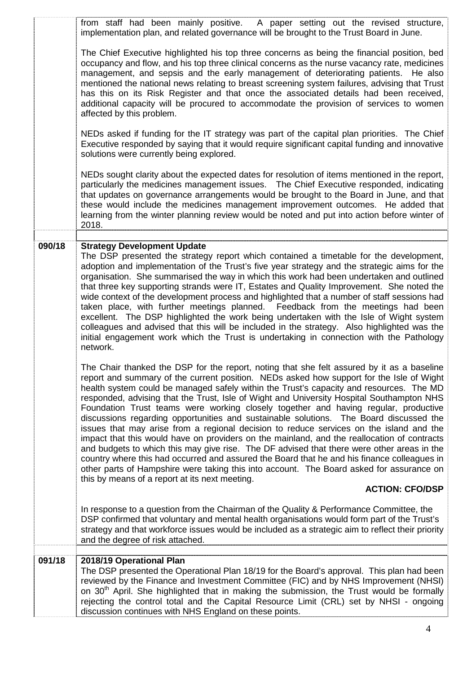|        | from staff had been mainly positive.<br>A paper setting out the revised structure,<br>implementation plan, and related governance will be brought to the Trust Board in June.                                                                                                                                                                                                                                                                                                                                                                                                                                                                                                                                                                                                                                                                                                                                                                                                                                                                                                                        |
|--------|------------------------------------------------------------------------------------------------------------------------------------------------------------------------------------------------------------------------------------------------------------------------------------------------------------------------------------------------------------------------------------------------------------------------------------------------------------------------------------------------------------------------------------------------------------------------------------------------------------------------------------------------------------------------------------------------------------------------------------------------------------------------------------------------------------------------------------------------------------------------------------------------------------------------------------------------------------------------------------------------------------------------------------------------------------------------------------------------------|
|        | The Chief Executive highlighted his top three concerns as being the financial position, bed<br>occupancy and flow, and his top three clinical concerns as the nurse vacancy rate, medicines<br>management, and sepsis and the early management of deteriorating patients. He also<br>mentioned the national news relating to breast screening system failures, advising that Trust<br>has this on its Risk Register and that once the associated details had been received,<br>additional capacity will be procured to accommodate the provision of services to women<br>affected by this problem.                                                                                                                                                                                                                                                                                                                                                                                                                                                                                                   |
|        | NEDs asked if funding for the IT strategy was part of the capital plan priorities. The Chief<br>Executive responded by saying that it would require significant capital funding and innovative<br>solutions were currently being explored.                                                                                                                                                                                                                                                                                                                                                                                                                                                                                                                                                                                                                                                                                                                                                                                                                                                           |
|        | NEDs sought clarity about the expected dates for resolution of items mentioned in the report,<br>particularly the medicines management issues.  The Chief Executive responded, indicating<br>that updates on governance arrangements would be brought to the Board in June, and that<br>these would include the medicines management improvement outcomes. He added that<br>learning from the winter planning review would be noted and put into action before winter of<br>2018.                                                                                                                                                                                                                                                                                                                                                                                                                                                                                                                                                                                                                    |
|        |                                                                                                                                                                                                                                                                                                                                                                                                                                                                                                                                                                                                                                                                                                                                                                                                                                                                                                                                                                                                                                                                                                      |
| 090/18 | <b>Strategy Development Update</b><br>The DSP presented the strategy report which contained a timetable for the development,<br>adoption and implementation of the Trust's five year strategy and the strategic aims for the<br>organisation. She summarised the way in which this work had been undertaken and outlined<br>that three key supporting strands were IT, Estates and Quality Improvement. She noted the<br>wide context of the development process and highlighted that a number of staff sessions had<br>taken place, with further meetings planned. Feedback from the meetings had been<br>excellent. The DSP highlighted the work being undertaken with the Isle of Wight system<br>colleagues and advised that this will be included in the strategy. Also highlighted was the<br>initial engagement work which the Trust is undertaking in connection with the Pathology<br>network.                                                                                                                                                                                              |
|        | The Chair thanked the DSP for the report, noting that she felt assured by it as a baseline<br>report and summary of the current position. NEDs asked how support for the Isle of Wight<br>health system could be managed safely within the Trust's capacity and resources. The MD<br>responded, advising that the Trust, Isle of Wight and University Hospital Southampton NHS<br>Foundation Trust teams were working closely together and having regular, productive<br>discussions regarding opportunities and sustainable solutions. The Board discussed the<br>issues that may arise from a regional decision to reduce services on the island and the<br>impact that this would have on providers on the mainland, and the reallocation of contracts<br>and budgets to which this may give rise. The DF advised that there were other areas in the<br>country where this had occurred and assured the Board that he and his finance colleagues in<br>other parts of Hampshire were taking this into account. The Board asked for assurance on<br>this by means of a report at its next meeting. |
|        | <b>ACTION: CFO/DSP</b>                                                                                                                                                                                                                                                                                                                                                                                                                                                                                                                                                                                                                                                                                                                                                                                                                                                                                                                                                                                                                                                                               |
|        | In response to a question from the Chairman of the Quality & Performance Committee, the<br>DSP confirmed that voluntary and mental health organisations would form part of the Trust's<br>strategy and that workforce issues would be included as a strategic aim to reflect their priority<br>and the degree of risk attached.                                                                                                                                                                                                                                                                                                                                                                                                                                                                                                                                                                                                                                                                                                                                                                      |
| 091/18 | 2018/19 Operational Plan                                                                                                                                                                                                                                                                                                                                                                                                                                                                                                                                                                                                                                                                                                                                                                                                                                                                                                                                                                                                                                                                             |
|        | The DSP presented the Operational Plan 18/19 for the Board's approval. This plan had been<br>reviewed by the Finance and Investment Committee (FIC) and by NHS Improvement (NHSI)<br>on 30 <sup>th</sup> April. She highlighted that in making the submission, the Trust would be formally<br>rejecting the control total and the Capital Resource Limit (CRL) set by NHSI - ongoing<br>discussion continues with NHS England on these points.                                                                                                                                                                                                                                                                                                                                                                                                                                                                                                                                                                                                                                                       |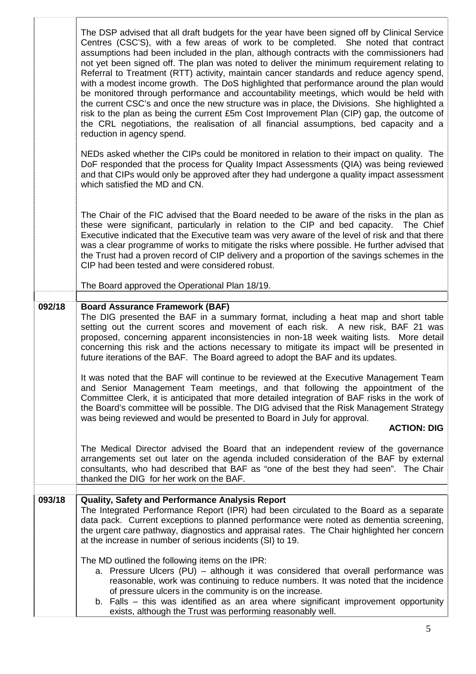|        | The DSP advised that all draft budgets for the year have been signed off by Clinical Service<br>Centres (CSC'S), with a few areas of work to be completed. She noted that contract<br>assumptions had been included in the plan, although contracts with the commissioners had<br>not yet been signed off. The plan was noted to deliver the minimum requirement relating to<br>Referral to Treatment (RTT) activity, maintain cancer standards and reduce agency spend,<br>with a modest income growth. The DoS highlighted that performance around the plan would<br>be monitored through performance and accountability meetings, which would be held with<br>the current CSC's and once the new structure was in place, the Divisions. She highlighted a<br>risk to the plan as being the current £5m Cost Improvement Plan (CIP) gap, the outcome of<br>the CRL negotiations, the realisation of all financial assumptions, bed capacity and a<br>reduction in agency spend.<br>NEDs asked whether the CIPs could be monitored in relation to their impact on quality. The<br>DoF responded that the process for Quality Impact Assessments (QIA) was being reviewed<br>and that CIPs would only be approved after they had undergone a quality impact assessment<br>which satisfied the MD and CN. |
|--------|----------------------------------------------------------------------------------------------------------------------------------------------------------------------------------------------------------------------------------------------------------------------------------------------------------------------------------------------------------------------------------------------------------------------------------------------------------------------------------------------------------------------------------------------------------------------------------------------------------------------------------------------------------------------------------------------------------------------------------------------------------------------------------------------------------------------------------------------------------------------------------------------------------------------------------------------------------------------------------------------------------------------------------------------------------------------------------------------------------------------------------------------------------------------------------------------------------------------------------------------------------------------------------------------------------|
|        | The Chair of the FIC advised that the Board needed to be aware of the risks in the plan as<br>these were significant, particularly in relation to the CIP and bed capacity. The Chief<br>Executive indicated that the Executive team was very aware of the level of risk and that there<br>was a clear programme of works to mitigate the risks where possible. He further advised that<br>the Trust had a proven record of CIP delivery and a proportion of the savings schemes in the<br>CIP had been tested and were considered robust.                                                                                                                                                                                                                                                                                                                                                                                                                                                                                                                                                                                                                                                                                                                                                               |
|        | The Board approved the Operational Plan 18/19.                                                                                                                                                                                                                                                                                                                                                                                                                                                                                                                                                                                                                                                                                                                                                                                                                                                                                                                                                                                                                                                                                                                                                                                                                                                           |
| 092/18 | <b>Board Assurance Framework (BAF)</b><br>The DIG presented the BAF in a summary format, including a heat map and short table<br>setting out the current scores and movement of each risk. A new risk, BAF 21 was<br>proposed, concerning apparent inconsistencies in non-18 week waiting lists. More detail<br>concerning this risk and the actions necessary to mitigate its impact will be presented in<br>future iterations of the BAF. The Board agreed to adopt the BAF and its updates.                                                                                                                                                                                                                                                                                                                                                                                                                                                                                                                                                                                                                                                                                                                                                                                                           |
|        | It was noted that the BAF will continue to be reviewed at the Executive Management Team<br>and Senior Management Team meetings, and that following the appointment of the<br>Committee Clerk, it is anticipated that more detailed integration of BAF risks in the work of<br>the Board's committee will be possible. The DIG advised that the Risk Management Strategy<br>was being reviewed and would be presented to Board in July for approval.<br><b>ACTION: DIG</b>                                                                                                                                                                                                                                                                                                                                                                                                                                                                                                                                                                                                                                                                                                                                                                                                                                |
|        |                                                                                                                                                                                                                                                                                                                                                                                                                                                                                                                                                                                                                                                                                                                                                                                                                                                                                                                                                                                                                                                                                                                                                                                                                                                                                                          |
|        | The Medical Director advised the Board that an independent review of the governance<br>arrangements set out later on the agenda included consideration of the BAF by external<br>consultants, who had described that BAF as "one of the best they had seen". The Chair<br>thanked the DIG for her work on the BAF.                                                                                                                                                                                                                                                                                                                                                                                                                                                                                                                                                                                                                                                                                                                                                                                                                                                                                                                                                                                       |
| 093/18 | Quality, Safety and Performance Analysis Report                                                                                                                                                                                                                                                                                                                                                                                                                                                                                                                                                                                                                                                                                                                                                                                                                                                                                                                                                                                                                                                                                                                                                                                                                                                          |
|        | The Integrated Performance Report (IPR) had been circulated to the Board as a separate<br>data pack. Current exceptions to planned performance were noted as dementia screening,<br>the urgent care pathway, diagnostics and appraisal rates. The Chair highlighted her concern<br>at the increase in number of serious incidents (SI) to 19.                                                                                                                                                                                                                                                                                                                                                                                                                                                                                                                                                                                                                                                                                                                                                                                                                                                                                                                                                            |
|        | The MD outlined the following items on the IPR:<br>a. Pressure Ulcers (PU) – although it was considered that overall performance was<br>reasonable, work was continuing to reduce numbers. It was noted that the incidence<br>of pressure ulcers in the community is on the increase.<br>b. Falls – this was identified as an area where significant improvement opportunity<br>exists, although the Trust was performing reasonably well.                                                                                                                                                                                                                                                                                                                                                                                                                                                                                                                                                                                                                                                                                                                                                                                                                                                               |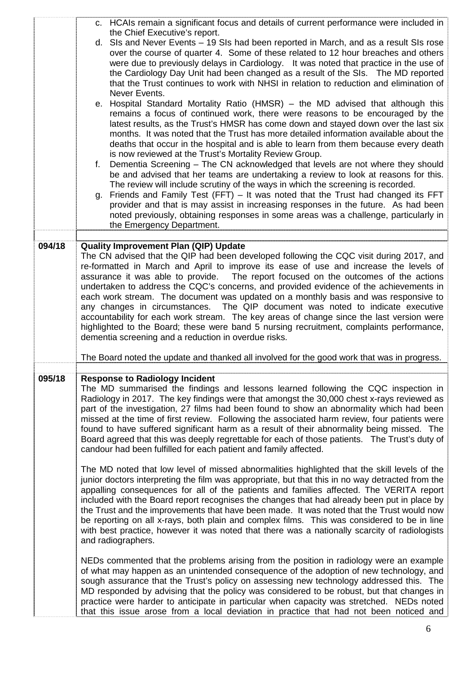|        | c. HCAIs remain a significant focus and details of current performance were included in                                                                                                                                                                                                                                                                                                                                                                                                                                                                                                                                                                                                                                                                                                                                                                                                                                                                                                                                                                                                                                                                                                                                                                                                                                                                                                                                                                                                                                                                                         |
|--------|---------------------------------------------------------------------------------------------------------------------------------------------------------------------------------------------------------------------------------------------------------------------------------------------------------------------------------------------------------------------------------------------------------------------------------------------------------------------------------------------------------------------------------------------------------------------------------------------------------------------------------------------------------------------------------------------------------------------------------------------------------------------------------------------------------------------------------------------------------------------------------------------------------------------------------------------------------------------------------------------------------------------------------------------------------------------------------------------------------------------------------------------------------------------------------------------------------------------------------------------------------------------------------------------------------------------------------------------------------------------------------------------------------------------------------------------------------------------------------------------------------------------------------------------------------------------------------|
|        | the Chief Executive's report.<br>d. SIs and Never Events - 19 SIs had been reported in March, and as a result SIs rose<br>over the course of quarter 4. Some of these related to 12 hour breaches and others<br>were due to previously delays in Cardiology. It was noted that practice in the use of<br>the Cardiology Day Unit had been changed as a result of the SIs.  The MD reported<br>that the Trust continues to work with NHSI in relation to reduction and elimination of<br>Never Events.<br>e. Hospital Standard Mortality Ratio (HMSR) - the MD advised that although this<br>remains a focus of continued work, there were reasons to be encouraged by the<br>latest results, as the Trust's HMSR has come down and stayed down over the last six<br>months. It was noted that the Trust has more detailed information available about the<br>deaths that occur in the hospital and is able to learn from them because every death<br>is now reviewed at the Trust's Mortality Review Group.<br>Dementia Screening - The CN acknowledged that levels are not where they should<br>f.<br>be and advised that her teams are undertaking a review to look at reasons for this.<br>The review will include scrutiny of the ways in which the screening is recorded.<br>g. Friends and Family Test (FFT) - It was noted that the Trust had changed its FFT<br>provider and that is may assist in increasing responses in the future. As had been<br>noted previously, obtaining responses in some areas was a challenge, particularly in<br>the Emergency Department. |
|        |                                                                                                                                                                                                                                                                                                                                                                                                                                                                                                                                                                                                                                                                                                                                                                                                                                                                                                                                                                                                                                                                                                                                                                                                                                                                                                                                                                                                                                                                                                                                                                                 |
| 094/18 | <b>Quality Improvement Plan (QIP) Update</b><br>The CN advised that the QIP had been developed following the CQC visit during 2017, and<br>re-formatted in March and April to improve its ease of use and increase the levels of<br>assurance it was able to provide. The report focused on the outcomes of the actions<br>undertaken to address the CQC's concerns, and provided evidence of the achievements in<br>each work stream. The document was updated on a monthly basis and was responsive to<br>any changes in circumstances. The QIP document was noted to indicate executive<br>accountability for each work stream. The key areas of change since the last version were<br>highlighted to the Board; these were band 5 nursing recruitment, complaints performance,<br>dementia screening and a reduction in overdue risks.                                                                                                                                                                                                                                                                                                                                                                                                                                                                                                                                                                                                                                                                                                                                      |
|        | The Board noted the update and thanked all involved for the good work that was in progress.                                                                                                                                                                                                                                                                                                                                                                                                                                                                                                                                                                                                                                                                                                                                                                                                                                                                                                                                                                                                                                                                                                                                                                                                                                                                                                                                                                                                                                                                                     |
| 095/18 | <b>Response to Radiology Incident</b><br>The MD summarised the findings and lessons learned following the CQC inspection in<br>Radiology in 2017. The key findings were that amongst the 30,000 chest x-rays reviewed as<br>part of the investigation, 27 films had been found to show an abnormality which had been<br>missed at the time of first review. Following the associated harm review, four patients were<br>found to have suffered significant harm as a result of their abnormality being missed. The<br>Board agreed that this was deeply regrettable for each of those patients. The Trust's duty of<br>candour had been fulfilled for each patient and family affected.                                                                                                                                                                                                                                                                                                                                                                                                                                                                                                                                                                                                                                                                                                                                                                                                                                                                                         |
|        | The MD noted that low level of missed abnormalities highlighted that the skill levels of the<br>junior doctors interpreting the film was appropriate, but that this in no way detracted from the<br>appalling consequences for all of the patients and families affected. The VERITA report<br>included with the Board report recognises the changes that had already been put in place by<br>the Trust and the improvements that have been made. It was noted that the Trust would now<br>be reporting on all x-rays, both plain and complex films. This was considered to be in line<br>with best practice, however it was noted that there was a nationally scarcity of radiologists<br>and radiographers.                                                                                                                                                                                                                                                                                                                                                                                                                                                                                                                                                                                                                                                                                                                                                                                                                                                                   |
|        | NEDs commented that the problems arising from the position in radiology were an example<br>of what may happen as an unintended consequence of the adoption of new technology, and<br>sough assurance that the Trust's policy on assessing new technology addressed this. The<br>MD responded by advising that the policy was considered to be robust, but that changes in<br>practice were harder to anticipate in particular when capacity was stretched. NEDs noted<br>that this issue arose from a local deviation in practice that had not been noticed and                                                                                                                                                                                                                                                                                                                                                                                                                                                                                                                                                                                                                                                                                                                                                                                                                                                                                                                                                                                                                 |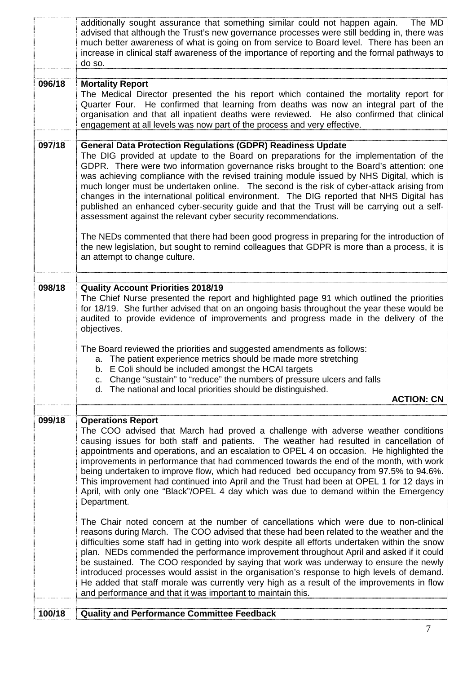|        | He added that staff morale was currently very high as a result of the improvements in flow<br>and performance and that it was important to maintain this.                                                                                                                                                                                                                                                                                                                                                                                                                                                                                                                                                       |
|--------|-----------------------------------------------------------------------------------------------------------------------------------------------------------------------------------------------------------------------------------------------------------------------------------------------------------------------------------------------------------------------------------------------------------------------------------------------------------------------------------------------------------------------------------------------------------------------------------------------------------------------------------------------------------------------------------------------------------------|
|        | The Chair noted concern at the number of cancellations which were due to non-clinical<br>reasons during March. The COO advised that these had been related to the weather and the<br>difficulties some staff had in getting into work despite all efforts undertaken within the snow<br>plan. NEDs commended the performance improvement throughout April and asked if it could<br>be sustained. The COO responded by saying that work was underway to ensure the newly<br>introduced processes would assist in the organisation's response to high levels of demand.                                                                                                                                           |
| 099/18 | <b>Operations Report</b><br>The COO advised that March had proved a challenge with adverse weather conditions<br>causing issues for both staff and patients. The weather had resulted in cancellation of<br>appointments and operations, and an escalation to OPEL 4 on occasion. He highlighted the<br>improvements in performance that had commenced towards the end of the month, with work<br>being undertaken to improve flow, which had reduced bed occupancy from 97.5% to 94.6%.<br>This improvement had continued into April and the Trust had been at OPEL 1 for 12 days in<br>April, with only one "Black"/OPEL 4 day which was due to demand within the Emergency<br>Department.                    |
|        | a. The patient experience metrics should be made more stretching<br>b. E Coli should be included amongst the HCAI targets<br>c. Change "sustain" to "reduce" the numbers of pressure ulcers and falls<br>d. The national and local priorities should be distinguished.<br><b>ACTION: CN</b>                                                                                                                                                                                                                                                                                                                                                                                                                     |
| 098/18 | <b>Quality Account Priorities 2018/19</b><br>The Chief Nurse presented the report and highlighted page 91 which outlined the priorities<br>for 18/19. She further advised that on an ongoing basis throughout the year these would be<br>audited to provide evidence of improvements and progress made in the delivery of the<br>objectives.<br>The Board reviewed the priorities and suggested amendments as follows:                                                                                                                                                                                                                                                                                          |
|        | The NEDs commented that there had been good progress in preparing for the introduction of<br>the new legislation, but sought to remind colleagues that GDPR is more than a process, it is<br>an attempt to change culture.                                                                                                                                                                                                                                                                                                                                                                                                                                                                                      |
| 097/18 | <b>General Data Protection Regulations (GDPR) Readiness Update</b><br>The DIG provided at update to the Board on preparations for the implementation of the<br>GDPR. There were two information governance risks brought to the Board's attention: one<br>was achieving compliance with the revised training module issued by NHS Digital, which is<br>much longer must be undertaken online. The second is the risk of cyber-attack arising from<br>changes in the international political environment. The DIG reported that NHS Digital has<br>published an enhanced cyber-security guide and that the Trust will be carrying out a self-<br>assessment against the relevant cyber security recommendations. |
| 096/18 | <b>Mortality Report</b><br>The Medical Director presented the his report which contained the mortality report for<br>Quarter Four. He confirmed that learning from deaths was now an integral part of the<br>organisation and that all inpatient deaths were reviewed. He also confirmed that clinical<br>engagement at all levels was now part of the process and very effective.                                                                                                                                                                                                                                                                                                                              |
|        | additionally sought assurance that something similar could not happen again.<br>The MD<br>advised that although the Trust's new governance processes were still bedding in, there was<br>much better awareness of what is going on from service to Board level. There has been an<br>increase in clinical staff awareness of the importance of reporting and the formal pathways to<br>do so.                                                                                                                                                                                                                                                                                                                   |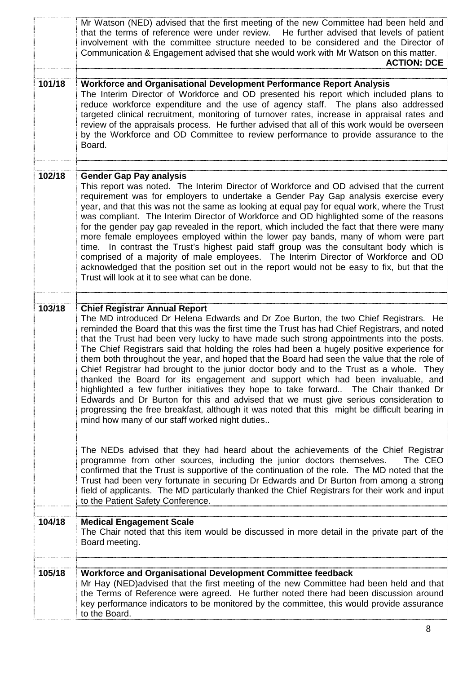|        | Mr Watson (NED) advised that the first meeting of the new Committee had been held and<br>that the terms of reference were under review. He further advised that levels of patient<br>involvement with the committee structure needed to be considered and the Director of<br>Communication & Engagement advised that she would work with Mr Watson on this matter.<br><b>ACTION: DCE</b>                                                                                                                                                                                                                                                                                                                                                                                                                                                                                                                                                                                                                                                |
|--------|-----------------------------------------------------------------------------------------------------------------------------------------------------------------------------------------------------------------------------------------------------------------------------------------------------------------------------------------------------------------------------------------------------------------------------------------------------------------------------------------------------------------------------------------------------------------------------------------------------------------------------------------------------------------------------------------------------------------------------------------------------------------------------------------------------------------------------------------------------------------------------------------------------------------------------------------------------------------------------------------------------------------------------------------|
| 101/18 | Workforce and Organisational Development Performance Report Analysis<br>The Interim Director of Workforce and OD presented his report which included plans to<br>reduce workforce expenditure and the use of agency staff. The plans also addressed<br>targeted clinical recruitment, monitoring of turnover rates, increase in appraisal rates and<br>review of the appraisals process. He further advised that all of this work would be overseen<br>by the Workforce and OD Committee to review performance to provide assurance to the<br>Board.                                                                                                                                                                                                                                                                                                                                                                                                                                                                                    |
| 102/18 | <b>Gender Gap Pay analysis</b><br>This report was noted. The Interim Director of Workforce and OD advised that the current<br>requirement was for employers to undertake a Gender Pay Gap analysis exercise every<br>year, and that this was not the same as looking at equal pay for equal work, where the Trust<br>was compliant. The Interim Director of Workforce and OD highlighted some of the reasons<br>for the gender pay gap revealed in the report, which included the fact that there were many<br>more female employees employed within the lower pay bands, many of whom were part<br>time. In contrast the Trust's highest paid staff group was the consultant body which is<br>comprised of a majority of male employees. The Interim Director of Workforce and OD<br>acknowledged that the position set out in the report would not be easy to fix, but that the<br>Trust will look at it to see what can be done.                                                                                                     |
| 103/18 | <b>Chief Registrar Annual Report</b><br>The MD introduced Dr Helena Edwards and Dr Zoe Burton, the two Chief Registrars. He<br>reminded the Board that this was the first time the Trust has had Chief Registrars, and noted<br>that the Trust had been very lucky to have made such strong appointments into the posts.<br>The Chief Registrars said that holding the roles had been a hugely positive experience for<br>them both throughout the year, and hoped that the Board had seen the value that the role of<br>Chief Registrar had brought to the junior doctor body and to the Trust as a whole. They<br>thanked the Board for its engagement and support which had been invaluable, and<br>highlighted a few further initiatives they hope to take forward The Chair thanked Dr<br>Edwards and Dr Burton for this and advised that we must give serious consideration to<br>progressing the free breakfast, although it was noted that this might be difficult bearing in<br>mind how many of our staff worked night duties |
|        | The NEDs advised that they had heard about the achievements of the Chief Registrar<br>programme from other sources, including the junior doctors themselves.<br>The CEO<br>confirmed that the Trust is supportive of the continuation of the role. The MD noted that the<br>Trust had been very fortunate in securing Dr Edwards and Dr Burton from among a strong<br>field of applicants. The MD particularly thanked the Chief Registrars for their work and input<br>to the Patient Safety Conference.                                                                                                                                                                                                                                                                                                                                                                                                                                                                                                                               |
| 104/18 | <b>Medical Engagement Scale</b><br>The Chair noted that this item would be discussed in more detail in the private part of the<br>Board meeting.                                                                                                                                                                                                                                                                                                                                                                                                                                                                                                                                                                                                                                                                                                                                                                                                                                                                                        |
| 105/18 | Workforce and Organisational Development Committee feedback<br>Mr Hay (NED) advised that the first meeting of the new Committee had been held and that<br>the Terms of Reference were agreed. He further noted there had been discussion around<br>key performance indicators to be monitored by the committee, this would provide assurance<br>to the Board.                                                                                                                                                                                                                                                                                                                                                                                                                                                                                                                                                                                                                                                                           |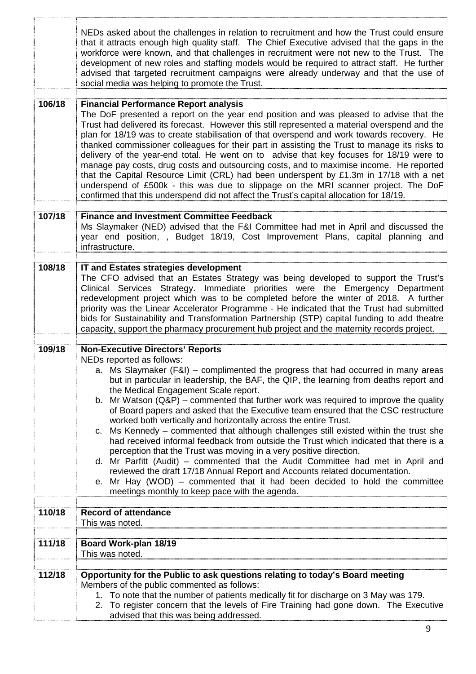|        | NEDs asked about the challenges in relation to recruitment and how the Trust could ensure<br>that it attracts enough high quality staff. The Chief Executive advised that the gaps in the<br>workforce were known, and that challenges in recruitment were not new to the Trust. The<br>development of new roles and staffing models would be required to attract staff. He further<br>advised that targeted recruitment campaigns were already underway and that the use of<br>social media was helping to promote the Trust.                                                                                                                                                                                                                                                                                                                                                                                                                                                                                                                                                                                     |
|--------|--------------------------------------------------------------------------------------------------------------------------------------------------------------------------------------------------------------------------------------------------------------------------------------------------------------------------------------------------------------------------------------------------------------------------------------------------------------------------------------------------------------------------------------------------------------------------------------------------------------------------------------------------------------------------------------------------------------------------------------------------------------------------------------------------------------------------------------------------------------------------------------------------------------------------------------------------------------------------------------------------------------------------------------------------------------------------------------------------------------------|
| 106/18 | <b>Financial Performance Report analysis</b><br>The DoF presented a report on the year end position and was pleased to advise that the<br>Trust had delivered its forecast. However this still represented a material overspend and the<br>plan for 18/19 was to create stabilisation of that overspend and work towards recovery. He<br>thanked commissioner colleagues for their part in assisting the Trust to manage its risks to<br>delivery of the year-end total. He went on to advise that key focuses for 18/19 were to<br>manage pay costs, drug costs and outsourcing costs, and to maximise income. He reported<br>that the Capital Resource Limit (CRL) had been underspent by £1.3m in 17/18 with a net<br>underspend of £500k - this was due to slippage on the MRI scanner project. The DoF<br>confirmed that this underspend did not affect the Trust's capital allocation for 18/19.                                                                                                                                                                                                             |
| 107/18 | <b>Finance and Investment Committee Feedback</b><br>Ms Slaymaker (NED) advised that the F&I Committee had met in April and discussed the<br>year end position, , Budget 18/19, Cost Improvement Plans, capital planning and<br>infrastructure.                                                                                                                                                                                                                                                                                                                                                                                                                                                                                                                                                                                                                                                                                                                                                                                                                                                                     |
| 108/18 | IT and Estates strategies development<br>The CFO advised that an Estates Strategy was being developed to support the Trust's<br>Clinical Services Strategy. Immediate priorities were the Emergency Department<br>redevelopment project which was to be completed before the winter of 2018. A further<br>priority was the Linear Accelerator Programme - He indicated that the Trust had submitted<br>bids for Sustainability and Transformation Partnership (STP) capital funding to add theatre<br>capacity, support the pharmacy procurement hub project and the maternity records project.                                                                                                                                                                                                                                                                                                                                                                                                                                                                                                                    |
| 109/18 | <b>Non-Executive Directors' Reports</b><br>NEDs reported as follows:<br>a. Ms Slaymaker (F&I) – complimented the progress that had occurred in many areas<br>but in particular in leadership, the BAF, the QIP, the learning from deaths report and<br>the Medical Engagement Scale report.<br>Mr Watson $(Q\&P)$ – commented that further work was required to improve the quality<br>b.<br>of Board papers and asked that the Executive team ensured that the CSC restructure<br>worked both vertically and horizontally across the entire Trust.<br>Ms Kennedy – commented that although challenges still existed within the trust she<br>C.<br>had received informal feedback from outside the Trust which indicated that there is a<br>perception that the Trust was moving in a very positive direction.<br>d. Mr Parfitt (Audit) – commented that the Audit Committee had met in April and<br>reviewed the draft 17/18 Annual Report and Accounts related documentation.<br>Mr Hay (WOD) – commented that it had been decided to hold the committee<br>е.<br>meetings monthly to keep pace with the agenda. |
| 110/18 | <b>Record of attendance</b><br>This was noted.                                                                                                                                                                                                                                                                                                                                                                                                                                                                                                                                                                                                                                                                                                                                                                                                                                                                                                                                                                                                                                                                     |
| 111/18 | Board Work-plan 18/19<br>This was noted.                                                                                                                                                                                                                                                                                                                                                                                                                                                                                                                                                                                                                                                                                                                                                                                                                                                                                                                                                                                                                                                                           |
| 112/18 | Opportunity for the Public to ask questions relating to today's Board meeting<br>Members of the public commented as follows:<br>1. To note that the number of patients medically fit for discharge on 3 May was 179.<br>2. To register concern that the levels of Fire Training had gone down. The Executive<br>advised that this was being addressed.                                                                                                                                                                                                                                                                                                                                                                                                                                                                                                                                                                                                                                                                                                                                                             |